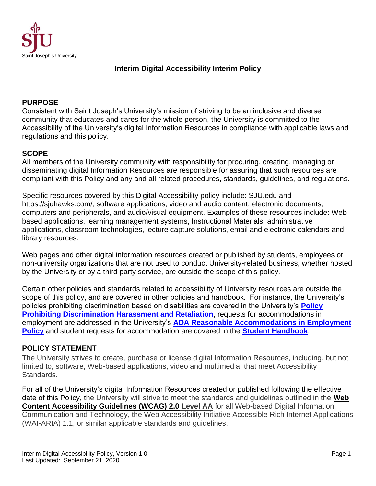

## **Interim Digital Accessibility Interim Policy**

#### **PURPOSE**

Consistent with Saint Joseph's University's mission of striving to be an inclusive and diverse community that educates and cares for the whole person, the University is committed to the Accessibility of the University's digital Information Resources in compliance with applicable laws and regulations and this policy.

#### **SCOPE**

All members of the University community with responsibility for procuring, creating, managing or disseminating digital Information Resources are responsible for assuring that such resources are compliant with this Policy and any and all related procedures, standards, guidelines, and regulations.

Specific resources covered by this Digital Accessibility policy include: SJU.edu and https://sjuhawks.com/, software applications, video and audio content, electronic documents, computers and peripherals, and audio/visual equipment. Examples of these resources include: Webbased applications, learning management systems, Instructional Materials, administrative applications, classroom technologies, lecture capture solutions, email and electronic calendars and library resources.

Web pages and other digital information resources created or published by students, employees or non-university organizations that are not used to conduct University-related business, whether hosted by the University or by a third party service, are outside the scope of this policy.

Certain other policies and standards related to accessibility of University resources are outside the scope of this policy, and are covered in other policies and handbook. For instance, the University's policies prohibiting discrimination based on disabilities are covered in the University's **[Policy](https://sites.sju.edu/support/files/2017/02/ProhibitingDiscriminationHarassmentandRetaliation.pdf)  [Prohibiting Discrimination Harassment and Retaliation](https://sites.sju.edu/support/files/2017/02/ProhibitingDiscriminationHarassmentandRetaliation.pdf)**, requests for accommodations in employment are addressed in the University's **[ADA Reasonable Accommodations in Employment](https://www.sju.edu/offices/human-resources/ada-reasonable-accommodation)  [Policy](https://www.sju.edu/offices/human-resources/ada-reasonable-accommodation)** and student requests for accommodation are covered in the **[Student Handbook](https://sites.sju.edu/communitystandards/student-handbook/)**.

## **POLICY STATEMENT**

The University strives to create, purchase or license digital Information Resources, including, but not limited to, software, Web-based applications, video and multimedia, that meet Accessibility Standards.

For all of the University's digital Information Resources created or published following the effective date of this Policy, the University will strive to meet the standards and guidelines outlined in the **[Web](http://www.w3.org/TR/WCAG20/)  [Content Accessibility Guidelines \(WCAG\) 2.0](http://www.w3.org/TR/WCAG20/) Level AA** for all Web-based Digital Information, Communication and Technology, the Web Accessibility Initiative Accessible Rich Internet Applications (WAI-ARIA) 1.1, or similar applicable standards and guidelines.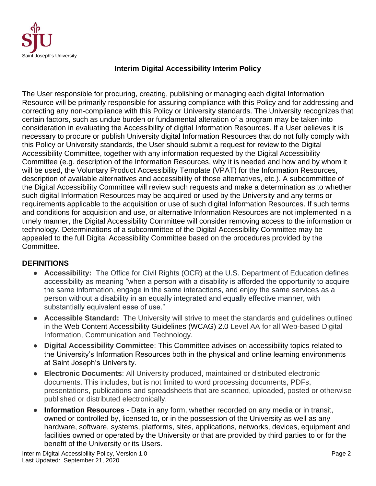

## **Interim Digital Accessibility Interim Policy**

The User responsible for procuring, creating, publishing or managing each digital Information Resource will be primarily responsible for assuring compliance with this Policy and for addressing and correcting any non-compliance with this Policy or University standards. The University recognizes that certain factors, such as undue burden or fundamental alteration of a program may be taken into consideration in evaluating the Accessibility of digital Information Resources. If a User believes it is necessary to procure or publish University digital Information Resources that do not fully comply with this Policy or University standards, the User should submit a request for review to the Digital Accessibility Committee, together with any information requested by the Digital Accessibility Committee (e.g. description of the Information Resources, why it is needed and how and by whom it will be used, the Voluntary Product Accessibility Template (VPAT) for the Information Resources, description of available alternatives and accessibility of those alternatives, etc.). A subcommittee of the Digital Accessibility Committee will review such requests and make a determination as to whether such digital Information Resources may be acquired or used by the University and any terms or requirements applicable to the acquisition or use of such digital Information Resources. If such terms and conditions for acquisition and use, or alternative Information Resources are not implemented in a timely manner, the Digital Accessibility Committee will consider removing access to the information or technology. Determinations of a subcommittee of the Digital Accessibility Committee may be appealed to the full Digital Accessibility Committee based on the procedures provided by the Committee.

## **DEFINITIONS**

- **Accessibility:** The Office for Civil Rights (OCR) at the U.S. Department of Education defines accessibility as meaning "when a person with a disability is afforded the opportunity to acquire the same information, engage in the same interactions, and enjoy the same services as a person without a disability in an equally integrated and equally effective manner, with substantially equivalent ease of use."
- **Accessible Standard:** The University will strive to meet the standards and guidelines outlined in the [Web Content Accessibility Guidelines \(WCAG\) 2.0](http://www.w3.org/TR/WCAG20/) Level AA for all Web-based Digital Information, Communication and Technology.
- **Digital Accessibility Committee**: This Committee advises on accessibility topics related to the University's Information Resources both in the physical and online learning environments at Saint Joseph's University.
- **Electronic Documents**: All University produced, maintained or distributed electronic documents. This includes, but is not limited to word processing documents, PDFs, presentations, publications and spreadsheets that are scanned, uploaded, posted or otherwise published or distributed electronically.
- **Information Resources** Data in any form, whether recorded on any media or in transit, owned or controlled by, licensed to, or in the possession of the University as well as any hardware, software, systems, platforms, sites, applications, networks, devices, equipment and facilities owned or operated by the University or that are provided by third parties to or for the benefit of the University or its Users.